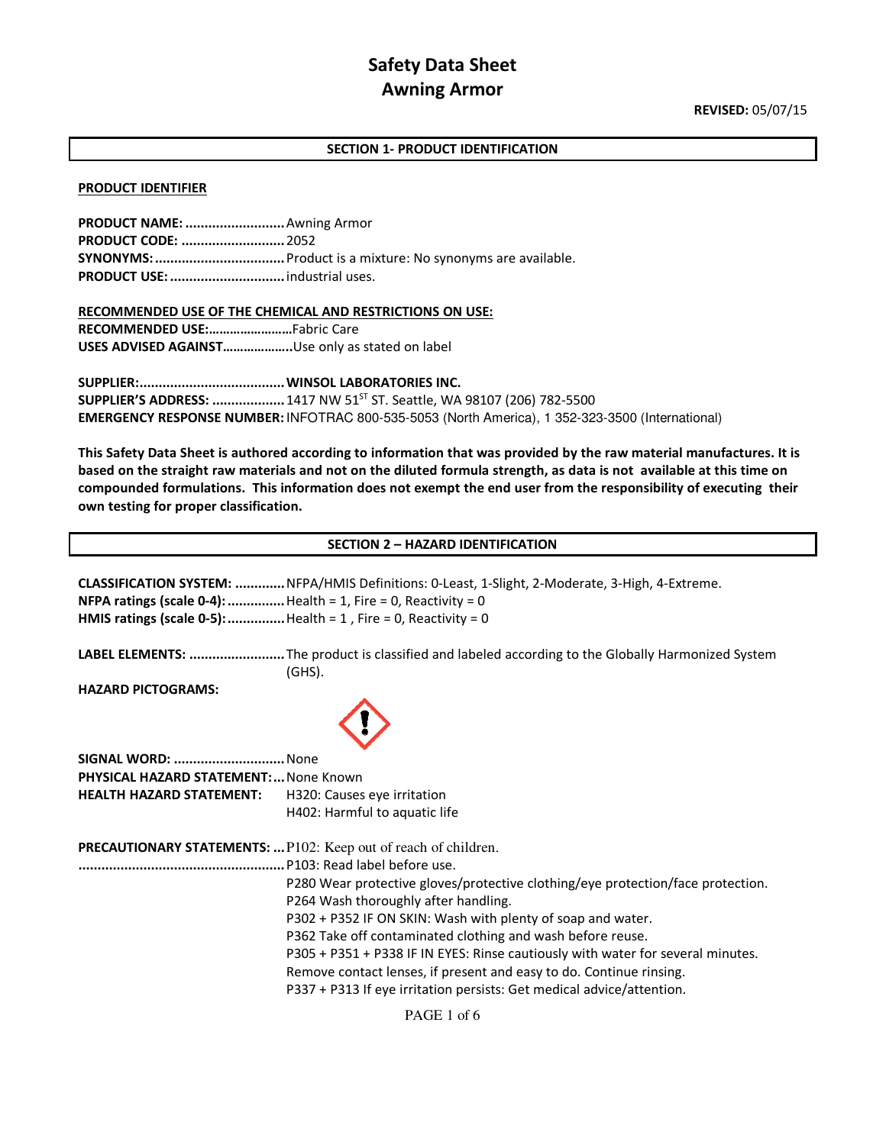## **SECTION 1- PRODUCT IDENTIFICATION**

#### **PRODUCT IDENTIFIER**

| <b>PRODUCT NAME: </b> Awning Armor |                                                             |
|------------------------------------|-------------------------------------------------------------|
| <b>PRODUCT CODE:  2052</b>         |                                                             |
|                                    | SYNONYMS:  Product is a mixture: No synonyms are available. |
|                                    |                                                             |

**RECOMMENDED USE OF THE CHEMICAL AND RESTRICTIONS ON USE: RECOMMENDED USE:……………………**Fabric Care **USES ADVISED AGAINST………………..**Use only as stated on label

**SUPPLIER: ...................................... WINSOL LABORATORIES INC. SUPPLIER'S ADDRESS: .................. 1417 NW 51<sup>ST</sup> ST. Seattle, WA 98107 (206) 782-5500 EMERGENCY RESPONSE NUMBER:** INFOTRAC 800-535-5053 (North America), 1 352-323-3500 (International)

**This Safety Data Sheet is authored according to information that was provided by the raw material manufactures. It is based on the straight raw materials and not on the diluted formula strength, as data is not available at this time on compounded formulations. This information does not exempt the end user from the responsibility of executing their own testing for proper classification.** 

#### **SECTION 2 – HAZARD IDENTIFICATION**

| <b>NFPA ratings (scale 0-4):</b> Health = 1, Fire = 0, Reactivity = 0 | CLASSIFICATION SYSTEM:  NFPA/HMIS Definitions: 0-Least, 1-Slight, 2-Moderate, 3-High, 4-Extreme.<br>HMIS ratings (scale 0-5):  Health = 1, Fire = 0, Reactivity = 0 |
|-----------------------------------------------------------------------|---------------------------------------------------------------------------------------------------------------------------------------------------------------------|
|                                                                       | LABEL ELEMENTS: The product is classified and labeled according to the Globally Harmonized System<br>$(GHS)$ .                                                      |
| <b>HAZARD PICTOGRAMS:</b>                                             |                                                                                                                                                                     |
| <b>SIGNAL WORD:  None</b>                                             |                                                                                                                                                                     |
| <b>PHYSICAL HAZARD STATEMENT: None Known</b>                          |                                                                                                                                                                     |
| <b>HEALTH HAZARD STATEMENT:</b>                                       | H320: Causes eye irritation                                                                                                                                         |
|                                                                       | H402: Harmful to aquatic life                                                                                                                                       |
|                                                                       | <b>PRECAUTIONARY STATEMENTS:  P102: Keep out of reach of children.</b>                                                                                              |
|                                                                       |                                                                                                                                                                     |
|                                                                       | P280 Wear protective gloves/protective clothing/eye protection/face protection.                                                                                     |
|                                                                       | P264 Wash thoroughly after handling.                                                                                                                                |
|                                                                       | P302 + P352 IF ON SKIN: Wash with plenty of soap and water.                                                                                                         |
|                                                                       | P362 Take off contaminated clothing and wash before reuse.                                                                                                          |
|                                                                       | P305 + P351 + P338 IF IN EYES: Rinse cautiously with water for several minutes.                                                                                     |
|                                                                       | Remove contact lenses, if present and easy to do. Continue rinsing.                                                                                                 |
|                                                                       | P337 + P313 If eye irritation persists: Get medical advice/attention.                                                                                               |
|                                                                       |                                                                                                                                                                     |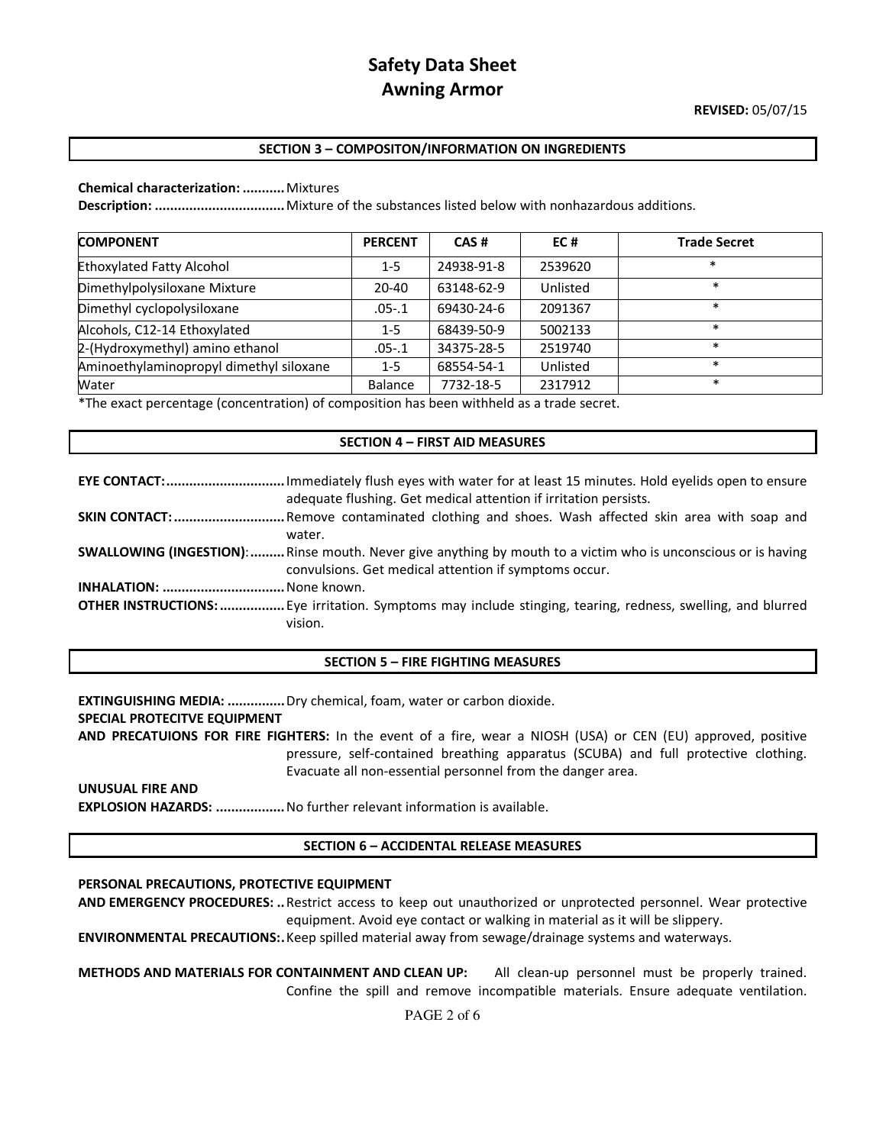## **SECTION 3 – COMPOSITON/INFORMATION ON INGREDIENTS**

### **Chemical characterization: ...........** Mixtures

**Description: ..................................** Mixture of the substances listed below with nonhazardous additions.

| <b>COMPONENT</b>                        | <b>PERCENT</b> | CAS#       | EC#      | <b>Trade Secret</b> |
|-----------------------------------------|----------------|------------|----------|---------------------|
| <b>Ethoxylated Fatty Alcohol</b>        | $1-5$          | 24938-91-8 | 2539620  | $\ast$              |
| Dimethylpolysiloxane Mixture            | $20 - 40$      | 63148-62-9 | Unlisted | $\ast$              |
| Dimethyl cyclopolysiloxane              | $.05 - .1$     | 69430-24-6 | 2091367  | $\ast$              |
| Alcohols, C12-14 Ethoxylated            | $1-5$          | 68439-50-9 | 5002133  | $\ast$              |
| 2-(Hydroxymethyl) amino ethanol         | $.05 - .1$     | 34375-28-5 | 2519740  | $\ast$              |
| Aminoethylaminopropyl dimethyl siloxane | $1 - 5$        | 68554-54-1 | Unlisted | $\ast$              |
| Water                                   | Balance        | 7732-18-5  | 2317912  | $\ast$              |

\*The exact percentage (concentration) of composition has been withheld as a trade secret.

### **SECTION 4 – FIRST AID MEASURES**

| <b>EYE CONTACT:</b> Immediately flush eyes with water for at least 15 minutes. Hold eyelids open to ensure           |
|----------------------------------------------------------------------------------------------------------------------|
| adequate flushing. Get medical attention if irritation persists.                                                     |
| <b>SKIN CONTACT:</b> Remove contaminated clothing and shoes. Wash affected skin area with soap and                   |
| water.                                                                                                               |
| <b>SWALLOWING (INGESTION):</b> Rinse mouth. Never give anything by mouth to a victim who is unconscious or is having |
| convulsions. Get medical attention if symptoms occur.                                                                |
|                                                                                                                      |
| <b>OTHER INSTRUCTIONS:</b> Eye irritation. Symptoms may include stinging, tearing, redness, swelling, and blurred    |
| vision.                                                                                                              |

### **SECTION 5 – FIRE FIGHTING MEASURES**

**EXTINGUISHING MEDIA: ...............** Dry chemical, foam, water or carbon dioxide. **SPECIAL PROTECITVE EQUIPMENT AND PRECATUIONS FOR FIRE FIGHTERS:** In the event of a fire, wear a NIOSH (USA) or CEN (EU) approved, positive pressure, self-contained breathing apparatus (SCUBA) and full protective clothing. Evacuate all non-essential personnel from the danger area. **UNUSUAL FIRE AND** 

## **EXPLOSION HAZARDS: ..................** No further relevant information is available.

### **SECTION 6 – ACCIDENTAL RELEASE MEASURES**

### **PERSONAL PRECAUTIONS, PROTECTIVE EQUIPMENT**

**AND EMERGENCY PROCEDURES: ..** Restrict access to keep out unauthorized or unprotected personnel. Wear protective equipment. Avoid eye contact or walking in material as it will be slippery.

**ENVIRONMENTAL PRECAUTIONS: .** Keep spilled material away from sewage/drainage systems and waterways.

**METHODS AND MATERIALS FOR CONTAINMENT AND CLEAN UP:** All clean-up personnel must be properly trained. Confine the spill and remove incompatible materials. Ensure adequate ventilation.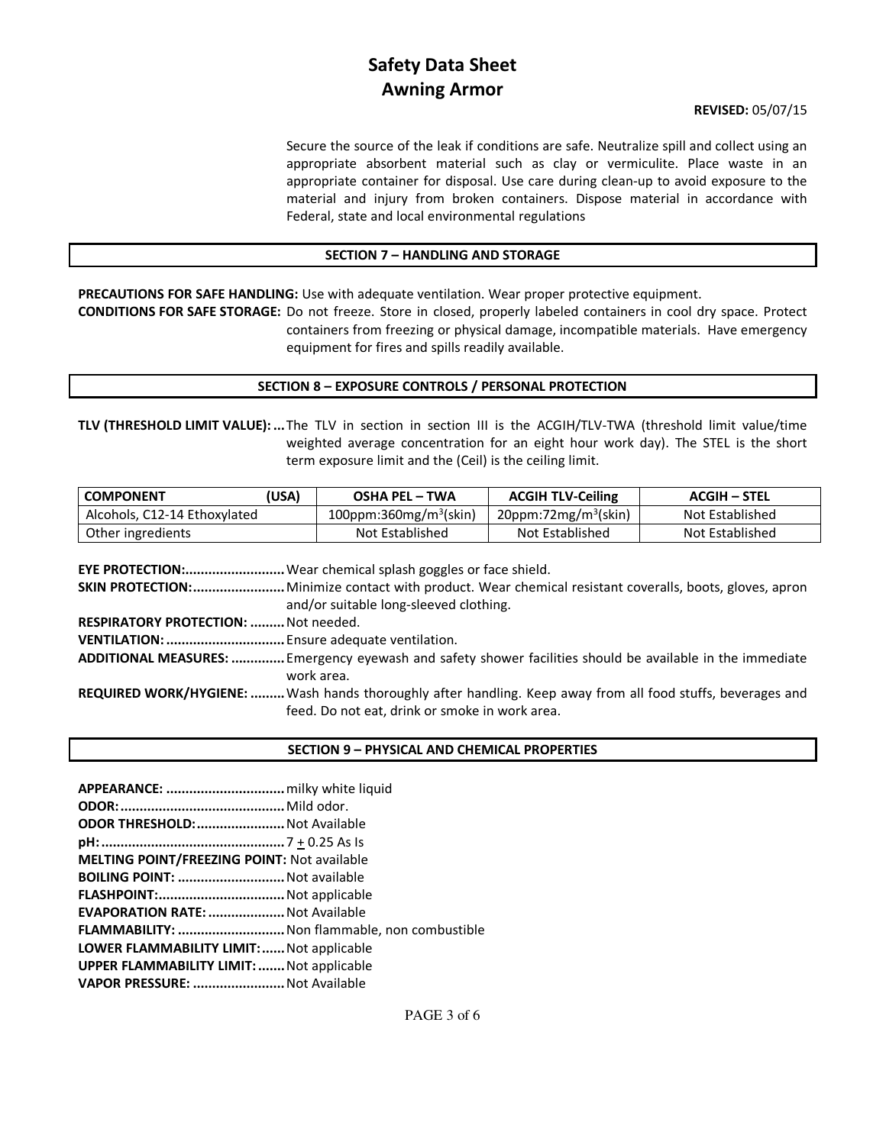## **REVISED:** 05/07/15

Secure the source of the leak if conditions are safe. Neutralize spill and collect using an appropriate absorbent material such as clay or vermiculite. Place waste in an appropriate container for disposal. Use care during clean-up to avoid exposure to the material and injury from broken containers. Dispose material in accordance with Federal, state and local environmental regulations

## **SECTION 7 – HANDLING AND STORAGE**

**PRECAUTIONS FOR SAFE HANDLING:** Use with adequate ventilation. Wear proper protective equipment.

**CONDITIONS FOR SAFE STORAGE:** Do not freeze. Store in closed, properly labeled containers in cool dry space. Protect containers from freezing or physical damage, incompatible materials. Have emergency equipment for fires and spills readily available.

## **SECTION 8 – EXPOSURE CONTROLS / PERSONAL PROTECTION**

**TLV (THRESHOLD LIMIT VALUE): ...** The TLV in section in section III is the ACGIH/TLV-TWA (threshold limit value/time weighted average concentration for an eight hour work day). The STEL is the short term exposure limit and the (Ceil) is the ceiling limit.

| <b>USA)</b><br><b>COMPONENT</b> | <b>OSHA PEL – TWA</b>              | <b>ACGIH TLV-Ceiling</b>            | ACGIH – STEL    |
|---------------------------------|------------------------------------|-------------------------------------|-----------------|
| Alcohols, C12-14 Ethoxylated    | 100ppm:360mg/m <sup>3</sup> (skin) | $20$ ppm:72mg/m <sup>3</sup> (skin) | Not Established |
| Other ingredients               | Not Established                    | Not Established                     | Not Established |

|                                             | <b>EYE PROTECTION:</b> Wear chemical splash goggles or face shield.                                            |
|---------------------------------------------|----------------------------------------------------------------------------------------------------------------|
|                                             | <b>SKIN PROTECTION:</b> Minimize contact with product. Wear chemical resistant coveralls, boots, gloves, apron |
|                                             | and/or suitable long-sleeved clothing.                                                                         |
| <b>RESPIRATORY PROTECTION:  Not needed.</b> |                                                                                                                |
|                                             |                                                                                                                |
|                                             | ADDITIONAL MEASURES:  Emergency eyewash and safety shower facilities should be available in the immediate      |
|                                             | work area.                                                                                                     |
|                                             | REQUIRED WORK/HYGIENE:  Wash hands thoroughly after handling. Keep away from all food stuffs, beverages and    |
|                                             | feed. Do not eat, drink or smoke in work area.                                                                 |

## **SECTION 9 – PHYSICAL AND CHEMICAL PROPERTIES**

| ODOR THRESHOLD:  Not Available                       |  |
|------------------------------------------------------|--|
|                                                      |  |
| MELTING POINT/FREEZING POINT: Not available          |  |
| BOILING POINT:  Not available                        |  |
|                                                      |  |
| EVAPORATION RATE:  Not Available                     |  |
| <b>FLAMMABILITY:  Non flammable, non combustible</b> |  |
| <b>LOWER FLAMMABILITY LIMIT: Not applicable</b>      |  |
| <b>UPPER FLAMMABILITY LIMIT:  Not applicable</b>     |  |
| VAPOR PRESSURE:  Not Available                       |  |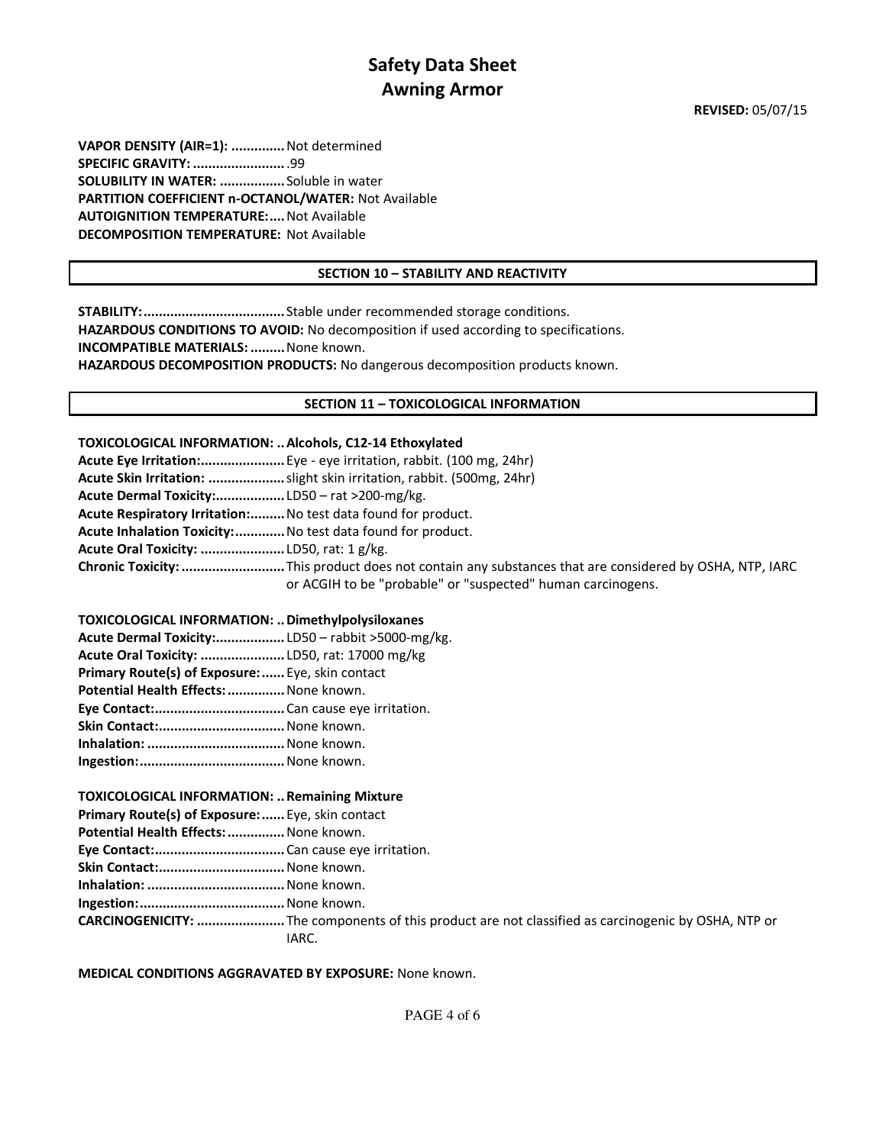**VAPOR DENSITY (AIR=1): ..............** Not determined **SPECIFIC GRAVITY: ........................** .99 **SOLUBILITY IN WATER: .................** Soluble in water **PARTITION COEFFICIENT n-OCTANOL/WATER:** Not Available **AUTOIGNITION TEMPERATURE:.... Not Available DECOMPOSITION TEMPERATURE:** Not Available

## **SECTION 10 – STABILITY AND REACTIVITY**

**STABILITY: .....................................** Stable under recommended storage conditions. **HAZARDOUS CONDITIONS TO AVOID:** No decomposition if used according to specifications. **INCOMPATIBLE MATERIALS: .........** None known. **HAZARDOUS DECOMPOSITION PRODUCTS:** No dangerous decomposition products known.

## **SECTION 11 – TOXICOLOGICAL INFORMATION**

### **TOXICOLOGICAL INFORMATION: .. Alcohols, C12-14 Ethoxylated**

|                                                               | Acute Eye Irritation: Eye - eye irritation, rabbit. (100 mg, 24hr)                                    |
|---------------------------------------------------------------|-------------------------------------------------------------------------------------------------------|
|                                                               | Acute Skin Irritation: slight skin irritation, rabbit. (500mg, 24hr)                                  |
|                                                               |                                                                                                       |
| Acute Respiratory Irritation: No test data found for product. |                                                                                                       |
| Acute Inhalation Toxicity: No test data found for product.    |                                                                                                       |
|                                                               |                                                                                                       |
|                                                               | Chronic Toxicity: This product does not contain any substances that are considered by OSHA, NTP, IARC |
|                                                               | or ACGIH to be "probable" or "suspected" human carcinogens.                                           |

## **TOXICOLOGICAL INFORMATION: .. Dimethylpolysiloxanes**

| Acute Dermal Toxicity:LD50 - rabbit >5000-mg/kg. |  |
|--------------------------------------------------|--|
| Acute Oral Toxicity: LD50, rat: 17000 mg/kg      |  |
| Primary Route(s) of Exposure:  Eye, skin contact |  |
| Potential Health Effects:  None known.           |  |
|                                                  |  |
| Skin Contact: None known.                        |  |
| Inhalation:  None known.                         |  |
|                                                  |  |

### **TOXICOLOGICAL INFORMATION: .. Remaining Mixture**

**Primary Route(s) of Exposure: ......** Eye, skin contact

**Potential Health Effects: ...............** None known.

**Eye Contact: ..................................** Can cause eye irritation.

**Skin Contact:.................................** None known.

**Inhalation: ....................................** None known.

**Ingestion: ......................................** None known.

**CARCINOGENICITY: .......................** The components of this product are not classified as carcinogenic by OSHA, NTP or IARC.

**MEDICAL CONDITIONS AGGRAVATED BY EXPOSURE:** None known.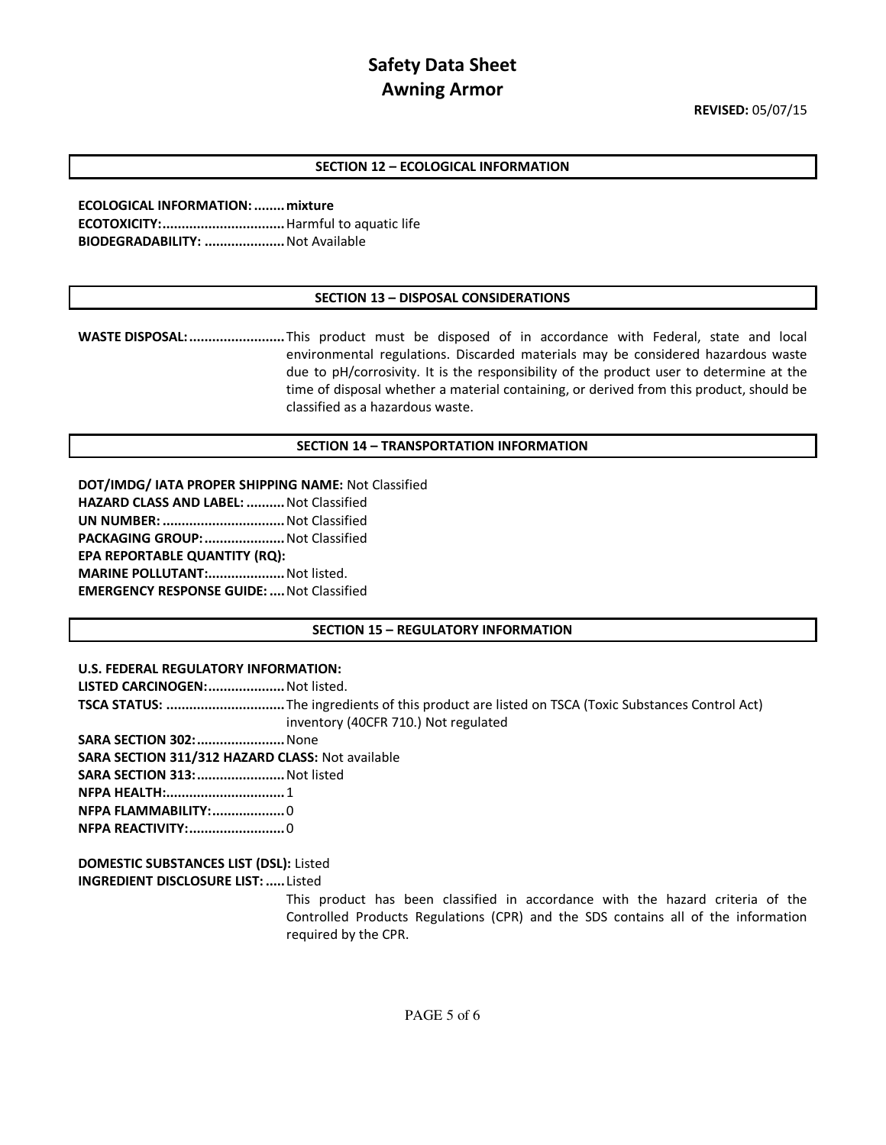## **SECTION 12 – ECOLOGICAL INFORMATION**

**ECOLOGICAL INFORMATION: ........ mixture ECOTOXICITY: ................................** Harmful to aquatic life **BIODEGRADABILITY: .....................** Not Available

#### **SECTION 13 – DISPOSAL CONSIDERATIONS**

**WASTE DISPOSAL: .........................** This product must be disposed of in accordance with Federal, state and local environmental regulations. Discarded materials may be considered hazardous waste due to pH/corrosivity. It is the responsibility of the product user to determine at the time of disposal whether a material containing, or derived from this product, should be classified as a hazardous waste.

#### **SECTION 14 – TRANSPORTATION INFORMATION**

**DOT/IMDG/ IATA PROPER SHIPPING NAME:** Not Classified **HAZARD CLASS AND LABEL: ..........** Not Classified **UN NUMBER: ................................** Not Classified **PACKAGING GROUP: .....................** Not Classified **EPA REPORTABLE QUANTITY (RQ): MARINE POLLUTANT:....................** Not listed. **EMERGENCY RESPONSE GUIDE: ....** Not Classified

### **SECTION 15 – REGULATORY INFORMATION**

### **U.S. FEDERAL REGULATORY INFORMATION:**

**LISTED CARCINOGEN: ....................** Not listed.

- **TSCA STATUS: ...............................** The ingredients of this product are listed on TSCA (Toxic Substances Control Act) inventory (40CFR 710.) Not regulated
- **SARA SECTION 302: .......................** None
- **SARA SECTION 311/312 HAZARD CLASS:** Not available
- **SARA SECTION 313: .......................** Not listed
- **NFPA HEALTH:...............................** 1
- **NFPA FLAMMABILITY: ...................** 0
- **NFPA REACTIVITY: .........................** 0

**DOMESTIC SUBSTANCES LIST (DSL):** Listed **INGREDIENT DISCLOSURE LIST: .....** Listed

> This product has been classified in accordance with the hazard criteria of the Controlled Products Regulations (CPR) and the SDS contains all of the information required by the CPR.